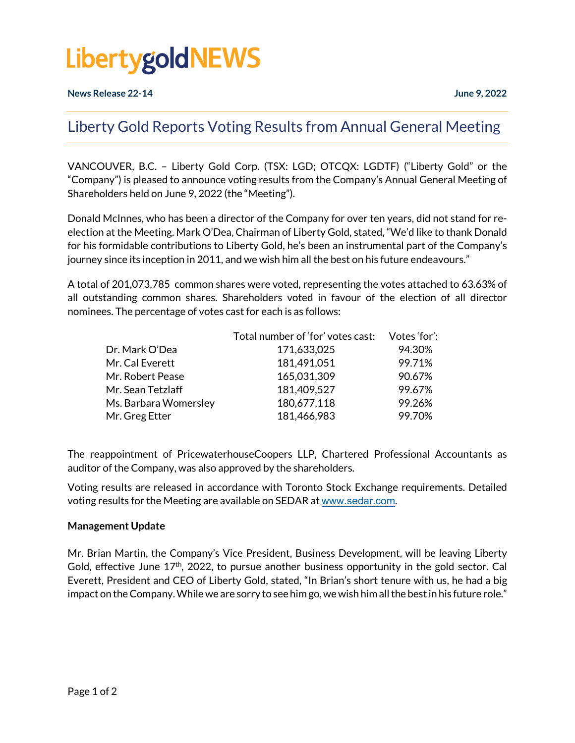## **LibertygoldNEWS**

### Liberty Gold Reports Voting Results from Annual General Meeting

VANCOUVER, B.C. – Liberty Gold Corp. (TSX: LGD; OTCQX: LGDTF) ("Liberty Gold" or the "Company") is pleased to announce voting results from the Company's Annual General Meeting of Shareholders held on June 9, 2022 (the "Meeting").

Donald McInnes, who has been a director of the Company for over ten years, did not stand for reelection at the Meeting. Mark O'Dea, Chairman of Liberty Gold, stated, "We'd like to thank Donald for his formidable contributions to Liberty Gold, he's been an instrumental part of the Company's journey since its inception in 2011, and we wish him all the best on his future endeavours."

A total of 201,073,785 common shares were voted, representing the votes attached to 63.63% of all outstanding common shares. Shareholders voted in favour of the election of all director nominees. The percentage of votes cast for each is as follows:

|                       | Total number of 'for' votes cast: | Votes 'for': |
|-----------------------|-----------------------------------|--------------|
| Dr. Mark O'Dea        | 171,633,025                       | 94.30%       |
| Mr. Cal Everett       | 181,491,051                       | 99.71%       |
| Mr. Robert Pease      | 165,031,309                       | 90.67%       |
| Mr. Sean Tetzlaff     | 181,409,527                       | 99.67%       |
| Ms. Barbara Womersley | 180,677,118                       | 99.26%       |
| Mr. Greg Etter        | 181,466,983                       | 99.70%       |

The reappointment of PricewaterhouseCoopers LLP, Chartered Professional Accountants as auditor of the Company, was also approved by the shareholders.

Voting results are released in accordance with Toronto Stock Exchange requirements. Detailed voting results for the Meeting are available on SEDAR at [www.sedar.com](http://www.sedar.com/).

#### **Management Update**

Mr. Brian Martin, the Company's Vice President, Business Development, will be leaving Liberty Gold, effective June  $17<sup>th</sup>$ , 2022, to pursue another business opportunity in the gold sector. Cal Everett, President and CEO of Liberty Gold, stated, "In Brian's short tenure with us, he had a big impact on the Company. While we are sorry to see him go, we wish him all the best in his future role."